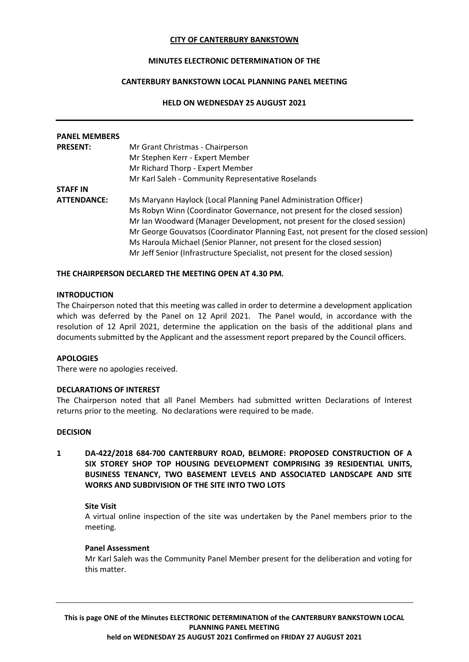### **CITY OF CANTERBURY BANKSTOWN**

# **MINUTES ELECTRONIC DETERMINATION OF THE**

## **CANTERBURY BANKSTOWN LOCAL PLANNING PANEL MEETING**

### **HELD ON WEDNESDAY 25 AUGUST 2021**

| <b>PANEL MEMBERS</b> |                                                                                     |
|----------------------|-------------------------------------------------------------------------------------|
| <b>PRESENT:</b>      | Mr Grant Christmas - Chairperson                                                    |
|                      | Mr Stephen Kerr - Expert Member                                                     |
|                      | Mr Richard Thorp - Expert Member                                                    |
|                      | Mr Karl Saleh - Community Representative Roselands                                  |
| <b>STAFF IN</b>      |                                                                                     |
| <b>ATTENDANCE:</b>   | Ms Maryann Haylock (Local Planning Panel Administration Officer)                    |
|                      | Ms Robyn Winn (Coordinator Governance, not present for the closed session)          |
|                      | Mr Ian Woodward (Manager Development, not present for the closed session)           |
|                      | Mr George Gouvatsos (Coordinator Planning East, not present for the closed session) |
|                      | Ms Haroula Michael (Senior Planner, not present for the closed session)             |
|                      | Mr Jeff Senior (Infrastructure Specialist, not present for the closed session)      |

### **THE CHAIRPERSON DECLARED THE MEETING OPEN AT 4.30 PM.**

#### **INTRODUCTION**

The Chairperson noted that this meeting was called in order to determine a development application which was deferred by the Panel on 12 April 2021. The Panel would, in accordance with the resolution of 12 April 2021, determine the application on the basis of the additional plans and documents submitted by the Applicant and the assessment report prepared by the Council officers.

#### **APOLOGIES**

There were no apologies received.

#### **DECLARATIONS OF INTEREST**

The Chairperson noted that all Panel Members had submitted written Declarations of Interest returns prior to the meeting. No declarations were required to be made.

#### **DECISION**

**1 DA-422/2018 684-700 CANTERBURY ROAD, BELMORE: PROPOSED CONSTRUCTION OF A SIX STOREY SHOP TOP HOUSING DEVELOPMENT COMPRISING 39 RESIDENTIAL UNITS, BUSINESS TENANCY, TWO BASEMENT LEVELS AND ASSOCIATED LANDSCAPE AND SITE WORKS AND SUBDIVISION OF THE SITE INTO TWO LOTS**

#### **Site Visit**

A virtual online inspection of the site was undertaken by the Panel members prior to the meeting.

#### **Panel Assessment**

Mr Karl Saleh was the Community Panel Member present for the deliberation and voting for this matter.

**This is page ONE of the Minutes ELECTRONIC DETERMINATION of the CANTERBURY BANKSTOWN LOCAL PLANNING PANEL MEETING held on WEDNESDAY 25 AUGUST 2021 Confirmed on FRIDAY 27 AUGUST 2021**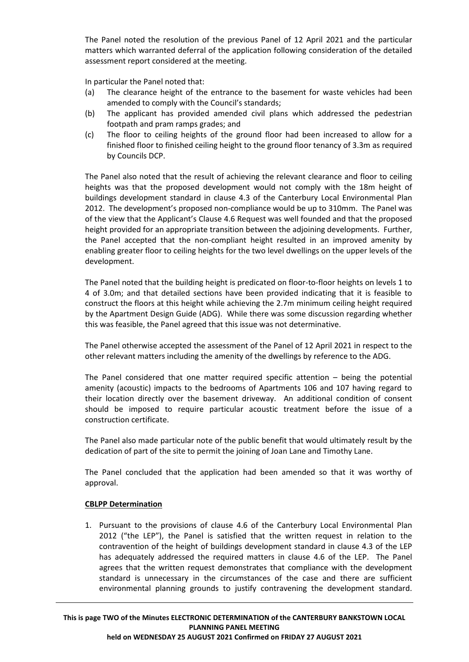The Panel noted the resolution of the previous Panel of 12 April 2021 and the particular matters which warranted deferral of the application following consideration of the detailed assessment report considered at the meeting.

In particular the Panel noted that:

- (a) The clearance height of the entrance to the basement for waste vehicles had been amended to comply with the Council's standards;
- (b) The applicant has provided amended civil plans which addressed the pedestrian footpath and pram ramps grades; and
- (c) The floor to ceiling heights of the ground floor had been increased to allow for a finished floor to finished ceiling height to the ground floor tenancy of 3.3m as required by Councils DCP.

The Panel also noted that the result of achieving the relevant clearance and floor to ceiling heights was that the proposed development would not comply with the 18m height of buildings development standard in clause 4.3 of the Canterbury Local Environmental Plan 2012. The development's proposed non-compliance would be up to 310mm. The Panel was of the view that the Applicant's Clause 4.6 Request was well founded and that the proposed height provided for an appropriate transition between the adjoining developments. Further, the Panel accepted that the non-compliant height resulted in an improved amenity by enabling greater floor to ceiling heights for the two level dwellings on the upper levels of the development.

The Panel noted that the building height is predicated on floor-to-floor heights on levels 1 to 4 of 3.0m; and that detailed sections have been provided indicating that it is feasible to construct the floors at this height while achieving the 2.7m minimum ceiling height required by the Apartment Design Guide (ADG). While there was some discussion regarding whether this was feasible, the Panel agreed that this issue was not determinative.

The Panel otherwise accepted the assessment of the Panel of 12 April 2021 in respect to the other relevant matters including the amenity of the dwellings by reference to the ADG.

The Panel considered that one matter required specific attention – being the potential amenity (acoustic) impacts to the bedrooms of Apartments 106 and 107 having regard to their location directly over the basement driveway. An additional condition of consent should be imposed to require particular acoustic treatment before the issue of a construction certificate.

The Panel also made particular note of the public benefit that would ultimately result by the dedication of part of the site to permit the joining of Joan Lane and Timothy Lane.

The Panel concluded that the application had been amended so that it was worthy of approval.

# **CBLPP Determination**

1. Pursuant to the provisions of clause 4.6 of the Canterbury Local Environmental Plan 2012 ("the LEP"), the Panel is satisfied that the written request in relation to the contravention of the height of buildings development standard in clause 4.3 of the LEP has adequately addressed the required matters in clause 4.6 of the LEP. The Panel agrees that the written request demonstrates that compliance with the development standard is unnecessary in the circumstances of the case and there are sufficient environmental planning grounds to justify contravening the development standard.